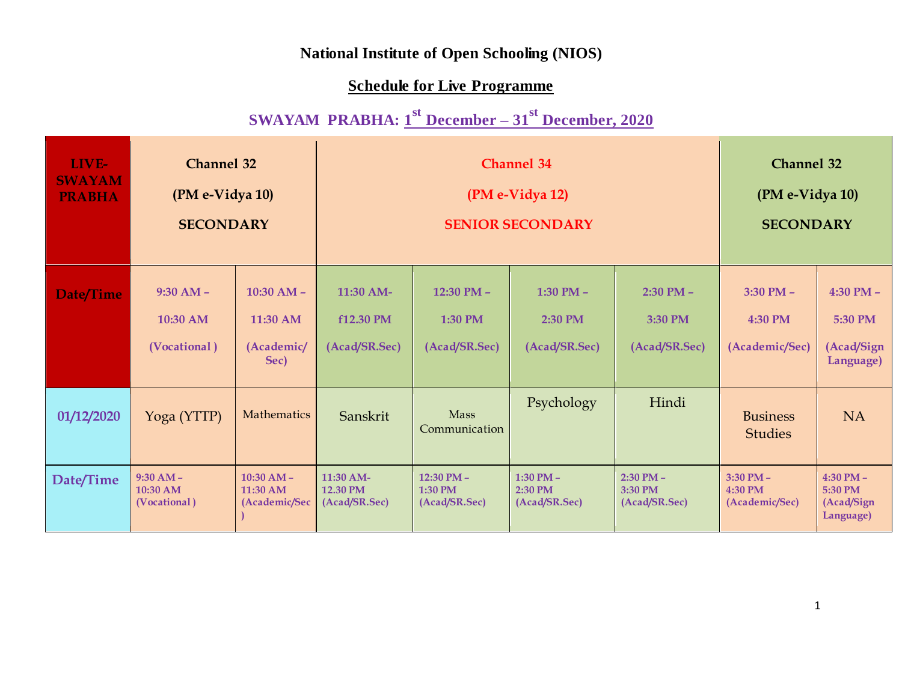## **National Institute of Open Schooling (NIOS)**

## **Schedule for Live Programme**

## **SWAYAM PRABHA: 1 st December – 31st December, 2020**

| LIVE-<br><b>SWAYAM</b><br><b>PRABHA</b> | <b>Channel 32</b><br>(PM e-Vidya 10)<br><b>SECONDARY</b> |                                                |                                                  | <b>Channel 34</b><br>(PM e-Vidya 12)<br><b>SENIOR SECONDARY</b> | <b>Channel 32</b><br>(PM e-Vidya 10)<br><b>SECONDARY</b> |                                           |                                            |                                                     |
|-----------------------------------------|----------------------------------------------------------|------------------------------------------------|--------------------------------------------------|-----------------------------------------------------------------|----------------------------------------------------------|-------------------------------------------|--------------------------------------------|-----------------------------------------------------|
| Date/Time                               | $9:30 AM -$<br>10:30 AM<br>(Vocational)                  | $10:30 AM -$<br>11:30 AM<br>(Academic/<br>Sec) | $11:30$ AM-<br><b>f12.30 PM</b><br>(Acad/SR.Sec) | $12:30$ PM $-$<br><b>1:30 PM</b><br>(Acad/SR.Sec)               | 1:30 PM $-$<br>2:30 PM<br>(Acad/SR.Sec)                  | $2:30$ PM $-$<br>3:30 PM<br>(Acad/SR.Sec) | $3:30$ PM $-$<br>4:30 PM<br>(Academic/Sec) | $4:30$ PM $-$<br>5:30 PM<br>(Acad/Sign<br>Language) |
| 01/12/2020                              | Yoga (YTTP)                                              | Mathematics                                    | Sanskrit                                         | Mass<br>Communication                                           | Psychology                                               | Hindi                                     | <b>Business</b><br><b>Studies</b>          | <b>NA</b>                                           |
| Date/Time                               | $9:30 AM -$<br>$10:30$ AM<br>(Vocational)                | $10:30$ AM -<br>$11:30$ AM<br>(Academic/Sec    | 11:30 AM-<br>12.30 PM<br>(Acad/SR.Sec)           | 12:30 PM $-$<br>1:30 PM<br>(Acad/SR.Sec)                        | 1:30 PM $-$<br>2:30 PM<br>(Acad/SR.Sec)                  | $2:30$ PM $-$<br>3:30 PM<br>(Acad/SR.Sec) | $3:30$ PM $-$<br>4:30 PM<br>(Academic/Sec) | $4:30$ PM $-$<br>5:30 PM<br>(Acad/Sign<br>Language) |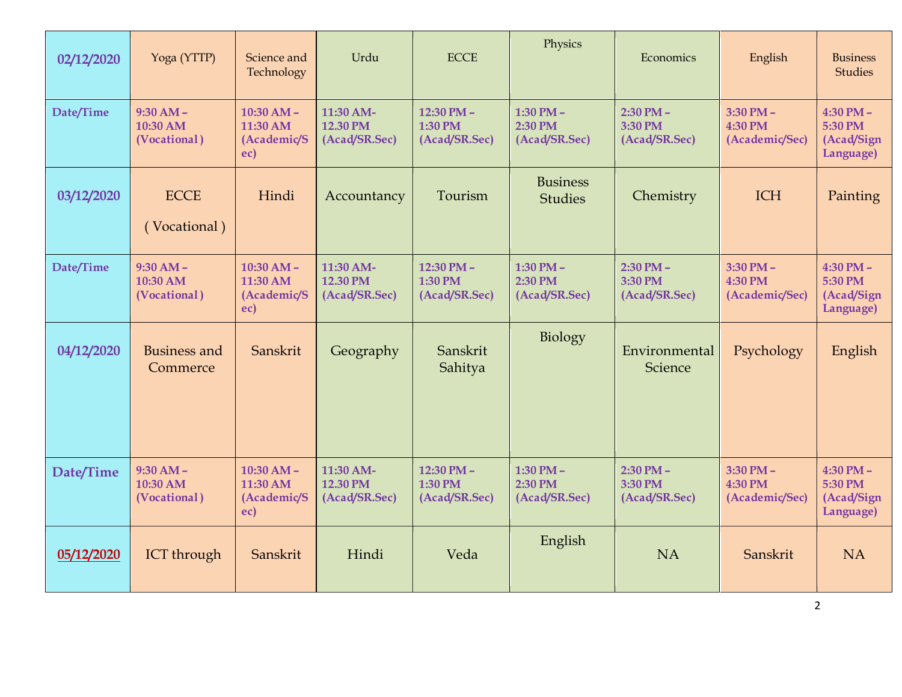| 02/12/2020 | Yoga (YTTP)                             | Science and<br>Technology                      | Urdu                                          | <b>ECCE</b>                            | Physics                                   |                                           | English                                    | <b>Business</b><br><b>Studies</b>                   |
|------------|-----------------------------------------|------------------------------------------------|-----------------------------------------------|----------------------------------------|-------------------------------------------|-------------------------------------------|--------------------------------------------|-----------------------------------------------------|
| Date/Time  | $9:30 AM -$<br>10:30 AM<br>(Vocational) | $10:30 AM -$<br>11:30 AM<br>(Academic/S<br>ec) | 11:30 AM-<br><b>12.30 PM</b><br>(Acad/SR.Sec) | 12:30 PM -<br>1:30 PM<br>(Acad/SR.Sec) | $1:30$ PM $-$<br>2:30 PM<br>(Acad/SR.Sec) | $2:30$ PM $-$<br>3:30 PM<br>(Acad/SR.Sec) | $3:30$ PM $-$<br>4:30 PM<br>(Academic/Sec) | $4:30$ PM $-$<br>5:30 PM<br>(Acad/Sign<br>Language) |
| 03/12/2020 | <b>ECCE</b><br>(Vocational)             | Hindi                                          | Accountancy                                   | Tourism                                | <b>Business</b><br><b>Studies</b>         | Chemistry                                 | <b>ICH</b>                                 | Painting                                            |
| Date/Time  | $9:30 AM -$<br>10:30 AM<br>(Vocational) | $10:30 AM -$<br>11:30 AM<br>(Academic/S<br>ec) | 11:30 AM-<br>12.30 PM<br>(Acad/SR.Sec)        | 12:30 PM-<br>1:30 PM<br>(Acad/SR.Sec)  | 1:30 PM $-$<br>2:30 PM<br>(Acad/SR.Sec)   | $2:30$ PM $-$<br>3:30 PM<br>(Acad/SR.Sec) | $3:30$ PM $-$<br>4:30 PM<br>(Academic/Sec) | $4:30$ PM $-$<br>5:30 PM<br>(Acad/Sign<br>Language) |
| 04/12/2020 | <b>Business and</b><br>Commerce         | Sanskrit                                       | Geography                                     | Sanskrit<br>Sahitya                    | Biology                                   | Environmental<br>Science                  | Psychology                                 | English                                             |
| Date/Time  | $9:30 AM -$<br>10:30 AM<br>(Vocational) | $10:30 AM -$<br>11:30 AM<br>(Academic/S<br>ec) | 11:30 AM-<br>12.30 PM<br>(Acad/SR.Sec)        | 12:30 PM -<br>1:30 PM<br>(Acad/SR.Sec) | 1:30 PM $-$<br>2:30 PM<br>(Acad/SR.Sec)   | $2:30$ PM $-$<br>3:30 PM<br>(Acad/SR.Sec) | $3:30$ PM $-$<br>4:30 PM<br>(Academic/Sec) | $4:30$ PM $-$<br>5:30 PM<br>(Acad/Sign<br>Language) |
| 05/12/2020 | <b>ICT</b> through                      | Sanskrit                                       | Hindi                                         | Veda                                   | English                                   | <b>NA</b>                                 | Sanskrit                                   | <b>NA</b>                                           |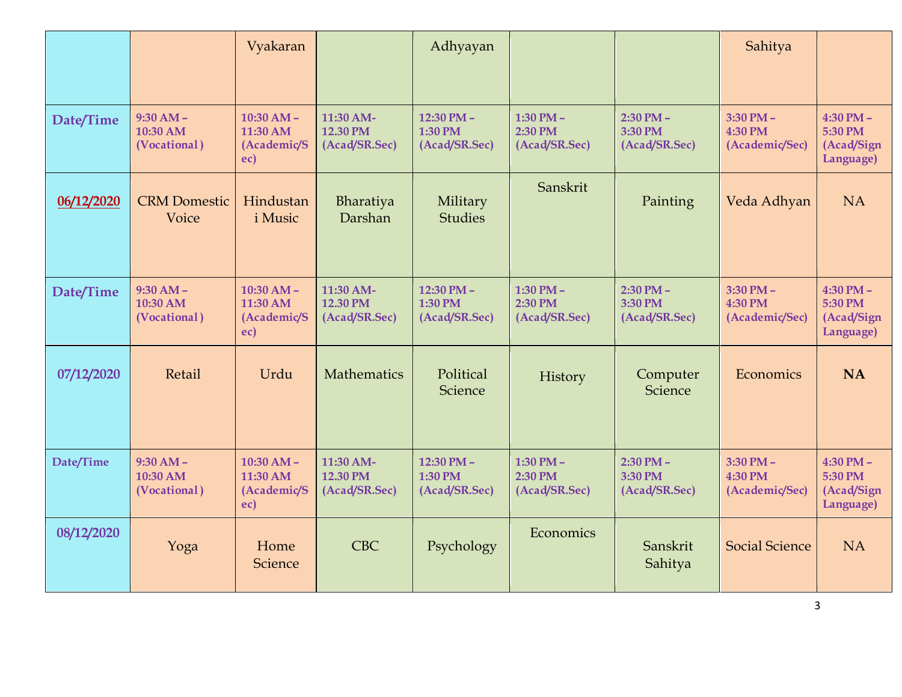|            |                                         | Vyakaran                                       |                                        | Adhyayan                               |                                         |                                           | Sahitya                                    |                                                     |
|------------|-----------------------------------------|------------------------------------------------|----------------------------------------|----------------------------------------|-----------------------------------------|-------------------------------------------|--------------------------------------------|-----------------------------------------------------|
|            |                                         |                                                |                                        |                                        |                                         |                                           |                                            |                                                     |
| Date/Time  | $9:30 AM -$<br>10:30 AM<br>(Vocational) | $10:30 AM -$<br>11:30 AM<br>(Academic/S<br>ec) | 11:30 AM-<br>12.30 PM<br>(Acad/SR.Sec) | 12:30 PM -<br>1:30 PM<br>(Acad/SR.Sec) | 1:30 PM $-$<br>2:30 PM<br>(Acad/SR.Sec) | $2:30$ PM $-$<br>3:30 PM<br>(Acad/SR.Sec) | $3:30$ PM $-$<br>4:30 PM<br>(Academic/Sec) | $4:30$ PM $-$<br>5:30 PM<br>(Acad/Sign<br>Language) |
| 06/12/2020 | <b>CRM Domestic</b><br>Voice            | Hindustan<br><i>i</i> Music                    | Bharatiya<br>Darshan                   | Military<br><b>Studies</b>             | Sanskrit                                | Painting                                  | Veda Adhyan                                | <b>NA</b>                                           |
| Date/Time  | $9:30 AM -$<br>10:30 AM<br>(Vocational) | $10:30 AM -$<br>11:30 AM<br>(Academic/S<br>ec) | 11:30 AM-<br>12.30 PM<br>(Acad/SR.Sec) | 12:30 PM -<br>1:30 PM<br>(Acad/SR.Sec) | 1:30 PM $-$<br>2:30 PM<br>(Acad/SR.Sec) | $2:30$ PM $-$<br>3:30 PM<br>(Acad/SR.Sec) | $3:30$ PM $-$<br>4:30 PM<br>(Academic/Sec) | $4:30$ PM $-$<br>5:30 PM<br>(Acad/Sign<br>Language) |
| 07/12/2020 | Retail                                  | Urdu                                           | <b>Mathematics</b>                     | Political<br>Science                   | History                                 | Computer<br>Science                       | Economics                                  | <b>NA</b>                                           |
| Date/Time  | $9:30 AM -$<br>10:30 AM<br>(Vocational) | $10:30 AM -$<br>11:30 AM<br>(Academic/S<br>ec) | 11:30 AM-<br>12.30 PM<br>(Acad/SR.Sec) | 12:30 PM -<br>1:30 PM<br>(Acad/SR.Sec) | 1:30 PM $-$<br>2:30 PM<br>(Acad/SR.Sec) | $2:30$ PM $-$<br>3:30 PM<br>(Acad/SR.Sec) | $3:30$ PM $-$<br>4:30 PM<br>(Academic/Sec) | $4:30$ PM $-$<br>5:30 PM<br>(Acad/Sign<br>Language) |
| 08/12/2020 | Yoga                                    | Home<br>Science                                | <b>CBC</b>                             | Psychology                             | Economics                               | Sanskrit<br>Sahitya                       | <b>Social Science</b>                      | <b>NA</b>                                           |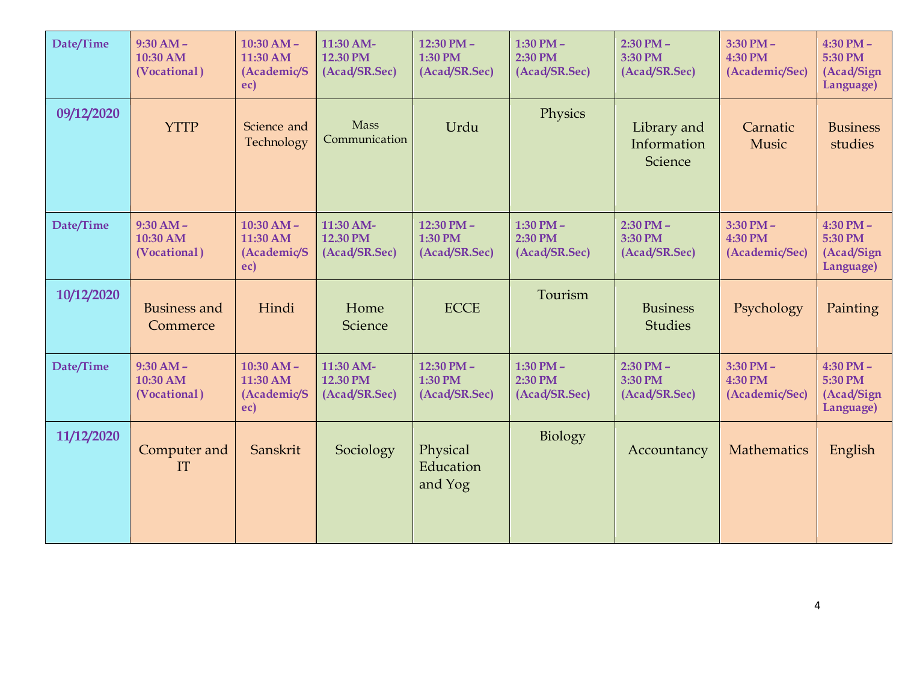| Date/Time  | $9:30 AM -$<br>10:30 AM<br>(Vocational) | $10:30 AM -$<br>11:30 AM<br>(Academic/S<br>ec) | 11:30 AM-<br>12.30 PM<br>(Acad/SR.Sec) | 12:30 PM -<br>1:30 PM<br>(Acad/SR.Sec) | 1:30 PM $-$<br>2:30 PM<br>(Acad/SR.Sec) | $2:30$ PM $-$<br>3:30 PM<br>(Acad/SR.Sec) | $3:30$ PM $-$<br>4:30 PM<br>(Academic/Sec) | $4:30$ PM $-$<br>5:30 PM<br>(Acad/Sign<br>Language) |
|------------|-----------------------------------------|------------------------------------------------|----------------------------------------|----------------------------------------|-----------------------------------------|-------------------------------------------|--------------------------------------------|-----------------------------------------------------|
| 09/12/2020 | <b>YTTP</b>                             | Science and<br>Technology                      | Mass<br>Communication                  | Urdu                                   | Physics                                 | Library and<br>Information<br>Science     | Carnatic<br>Music                          | <b>Business</b><br>studies                          |
| Date/Time  | $9:30 AM -$<br>10:30 AM<br>(Vocational) | $10:30 AM -$<br>11:30 AM<br>(Academic/S<br>ec) | 11:30 AM-<br>12.30 PM<br>(Acad/SR.Sec) | 12:30 PM -<br>1:30 PM<br>(Acad/SR.Sec) | 1:30 PM $-$<br>2:30 PM<br>(Acad/SR.Sec) | $2:30$ PM $-$<br>3:30 PM<br>(Acad/SR.Sec) | $3:30$ PM $-$<br>4:30 PM<br>(Academic/Sec) | $4:30$ PM $-$<br>5:30 PM<br>(Acad/Sign<br>Language) |
| 10/12/2020 | <b>Business and</b><br>Commerce         | Hindi                                          | Home<br>Science                        | <b>ECCE</b>                            | Tourism                                 | <b>Business</b><br><b>Studies</b>         | Psychology                                 | Painting                                            |
| Date/Time  | $9:30 AM -$<br>10:30 AM<br>(Vocational) | $10:30 AM -$<br>11:30 AM<br>(Academic/S<br>ec) | 11:30 AM-<br>12.30 PM<br>(Acad/SR.Sec) | 12:30 PM -<br>1:30 PM<br>(Acad/SR.Sec) | 1:30 PM $-$<br>2:30 PM<br>(Acad/SR.Sec) | $2:30$ PM $-$<br>3:30 PM<br>(Acad/SR.Sec) | $3:30$ PM $-$<br>4:30 PM<br>(Academic/Sec) | $4:30$ PM $-$<br>5:30 PM<br>(Acad/Sign<br>Language) |
| 11/12/2020 | Computer and<br>IT                      | Sanskrit                                       | Sociology                              | Physical<br>Education<br>and Yog       | Biology                                 | Accountancy                               | Mathematics                                | English                                             |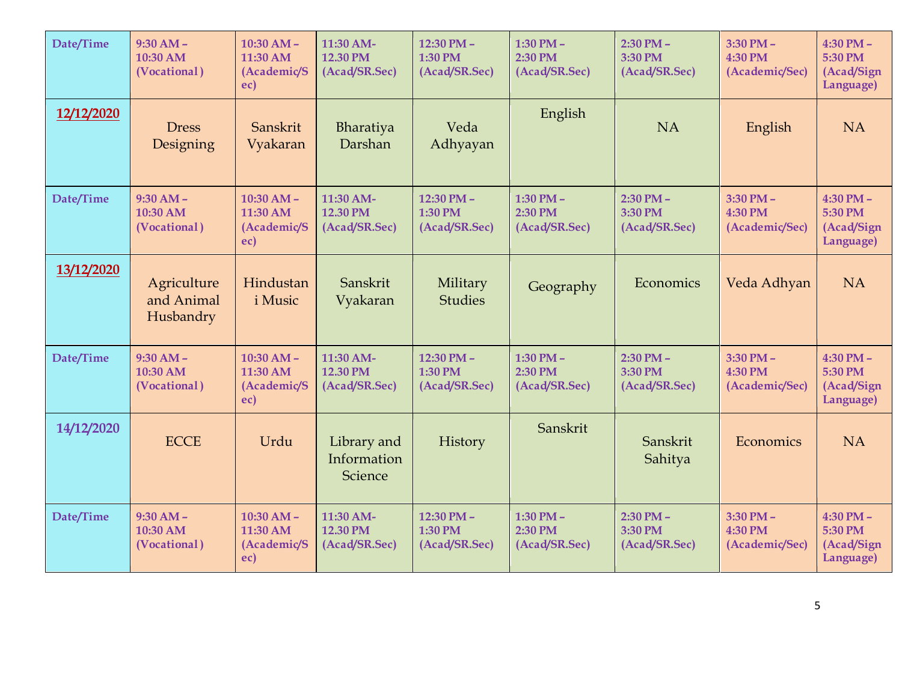| Date/Time  | $9:30 AM -$<br>10:30 AM<br>(Vocational) | $10:30$ AM -<br>11:30 AM<br>(Academic/S<br>ec) | 11:30 AM-<br>12.30 PM<br>(Acad/SR.Sec) | 12:30 PM -<br>1:30 PM<br>(Acad/SR.Sec) | 1:30 PM $-$<br>2:30 PM<br>(Acad/SR.Sec) | $2:30$ PM $-$<br>3:30 PM<br>(Acad/SR.Sec) | $3:30$ PM $-$<br>4:30 PM<br>(Academic/Sec) | $4:30$ PM $-$<br>5:30 PM<br>(Acad/Sign<br>Language) |
|------------|-----------------------------------------|------------------------------------------------|----------------------------------------|----------------------------------------|-----------------------------------------|-------------------------------------------|--------------------------------------------|-----------------------------------------------------|
| 12/12/2020 | <b>Dress</b><br>Designing               | Sanskrit<br>Vyakaran                           | Bharatiya<br>Darshan                   | Veda<br>Adhyayan                       | English                                 | <b>NA</b>                                 | English                                    | <b>NA</b>                                           |
| Date/Time  | $9:30 AM -$<br>10:30 AM<br>(Vocational) | $10:30 AM -$<br>11:30 AM<br>(Academic/S<br>ec) | 11:30 AM-<br>12.30 PM<br>(Acad/SR.Sec) | 12:30 PM -<br>1:30 PM<br>(Acad/SR.Sec) | 1:30 PM $-$<br>2:30 PM<br>(Acad/SR.Sec) | $2:30$ PM $-$<br>3:30 PM<br>(Acad/SR.Sec) | $3:30$ PM $-$<br>4:30 PM<br>(Academic/Sec) | $4:30$ PM $-$<br>5:30 PM<br>(Acad/Sign<br>Language) |
| 13/12/2020 | Agriculture<br>and Animal<br>Husbandry  | Hindustan<br><i>i</i> Music                    | Sanskrit<br>Vyakaran                   | Military<br><b>Studies</b>             | Geography                               | Economics                                 | Veda Adhyan                                | <b>NA</b>                                           |
| Date/Time  | $9:30 AM -$<br>10:30 AM<br>(Vocational) | $10:30 AM -$<br>11:30 AM<br>(Academic/S<br>ec) | 11:30 AM-<br>12.30 PM<br>(Acad/SR.Sec) | 12:30 PM -<br>1:30 PM<br>(Acad/SR.Sec) | 1:30 PM $-$<br>2:30 PM<br>(Acad/SR.Sec) | $2:30$ PM $-$<br>3:30 PM<br>(Acad/SR.Sec) | $3:30$ PM $-$<br>4:30 PM<br>(Academic/Sec) | $4:30$ PM $-$<br>5:30 PM<br>(Acad/Sign<br>Language) |
| 14/12/2020 | <b>ECCE</b>                             | Urdu                                           | Library and<br>Information<br>Science  | History                                | Sanskrit                                | Sanskrit<br>Sahitya                       | Economics                                  | <b>NA</b>                                           |
| Date/Time  | $9:30 AM -$<br>10:30 AM<br>(Vocational) | $10:30 AM -$<br>11:30 AM<br>(Academic/S<br>ec) | 11:30 AM-<br>12.30 PM<br>(Acad/SR.Sec) | 12:30 PM -<br>1:30 PM<br>(Acad/SR.Sec) | 1:30 PM $-$<br>2:30 PM<br>(Acad/SR.Sec) | $2:30$ PM $-$<br>3:30 PM<br>(Acad/SR.Sec) | $3:30$ PM $-$<br>4:30 PM<br>(Academic/Sec) | $4:30$ PM $-$<br>5:30 PM<br>(Acad/Sign<br>Language) |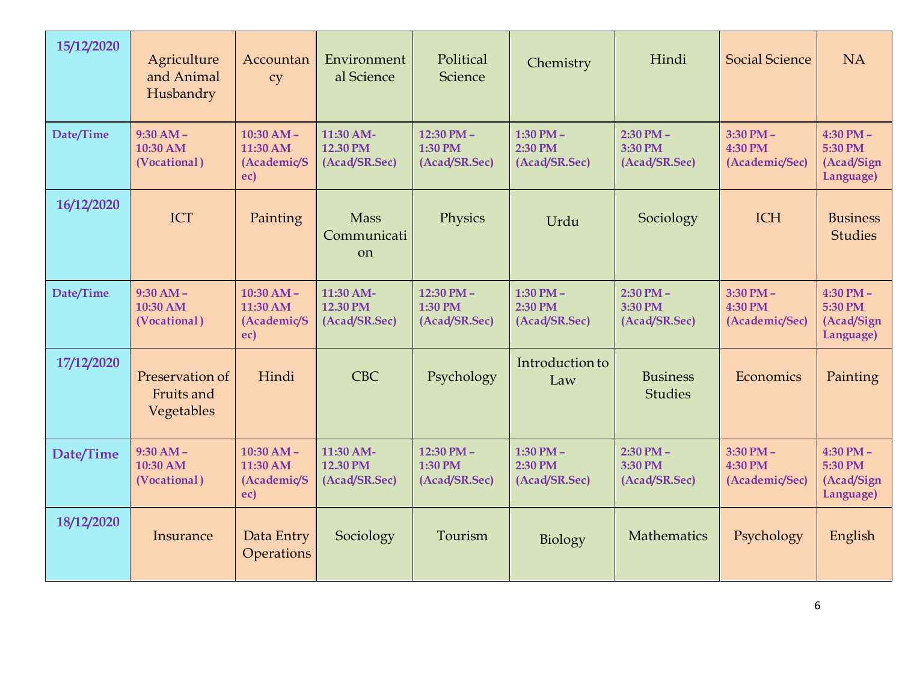| 15/12/2020 | Agriculture<br>and Animal<br>Husbandry      | Accountan<br>cy                                | Environment<br>al Science                   | Political<br>Science                   | Chemistry                                 | Hindi                                     | <b>Social Science</b>                      | <b>NA</b>                                           |
|------------|---------------------------------------------|------------------------------------------------|---------------------------------------------|----------------------------------------|-------------------------------------------|-------------------------------------------|--------------------------------------------|-----------------------------------------------------|
| Date/Time  | $9:30 AM -$<br>10:30 AM<br>(Vocational)     | $10:30 AM -$<br>11:30 AM<br>(Academic/S<br>ec) | 11:30 AM-<br>12.30 PM<br>(Acad/SR.Sec)      | 12:30 PM -<br>1:30 PM<br>(Acad/SR.Sec) | 1:30 PM $-$<br>2:30 PM<br>(Acad/SR.Sec)   | $2:30$ PM $-$<br>3:30 PM<br>(Acad/SR.Sec) | $3:30$ PM $-$<br>4:30 PM<br>(Academic/Sec) | $4:30$ PM $-$<br>5:30 PM<br>(Acad/Sign<br>Language) |
| 16/12/2020 | ICT                                         | Painting                                       | <b>Mass</b><br>Communicati<br><sub>on</sub> | Physics                                | Urdu                                      | Sociology                                 | <b>ICH</b>                                 | <b>Business</b><br><b>Studies</b>                   |
| Date/Time  | $9:30 AM -$<br>10:30 AM<br>(Vocational)     | $10:30 AM -$<br>11:30 AM<br>(Academic/S<br>ec) | 11:30 AM-<br>12.30 PM<br>(Acad/SR.Sec)      | 12:30 PM -<br>1:30 PM<br>(Acad/SR.Sec) | $1:30$ PM $-$<br>2:30 PM<br>(Acad/SR.Sec) | $2:30$ PM $-$<br>3:30 PM<br>(Acad/SR.Sec) | $3:30$ PM $-$<br>4:30 PM<br>(Academic/Sec) | $4:30$ PM -<br>5:30 PM<br>(Acad/Sign<br>Language)   |
| 17/12/2020 | Preservation of<br>Fruits and<br>Vegetables | Hindi                                          | <b>CBC</b>                                  | Psychology                             | Introduction to<br>Law                    | <b>Business</b><br><b>Studies</b>         | Economics                                  | Painting                                            |
| Date/Time  | $9:30 AM -$<br>10:30 AM<br>(Vocational)     | $10:30 AM -$<br>11:30 AM<br>(Academic/S<br>ec) | 11:30 AM-<br>12.30 PM<br>(Acad/SR.Sec)      | 12:30 PM -<br>1:30 PM<br>(Acad/SR.Sec) | 1:30 PM $-$<br>2:30 PM<br>(Acad/SR.Sec)   | $2:30$ PM $-$<br>3:30 PM<br>(Acad/SR.Sec) | $3:30$ PM $-$<br>4:30 PM<br>(Academic/Sec) | $4:30$ PM $-$<br>5:30 PM<br>(Acad/Sign<br>Language) |
| 18/12/2020 | Insurance                                   | Data Entry<br>Operations                       | Sociology                                   | Tourism                                | Biology                                   | Mathematics                               | Psychology                                 | English                                             |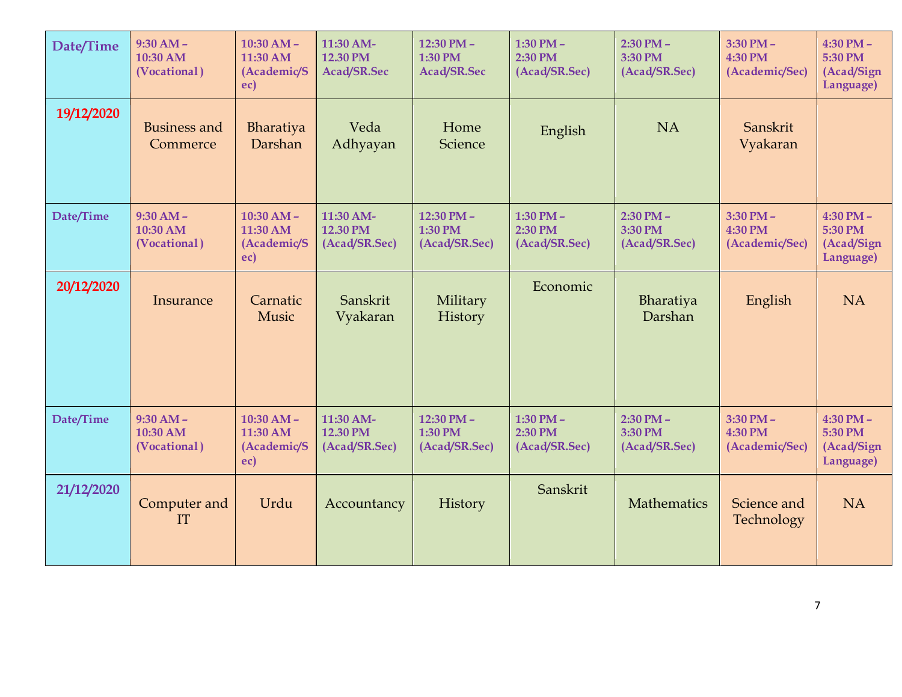| Date/Time  | $9:30 AM -$<br>10:30 AM<br>(Vocational) | $10:30 AM -$<br>11:30 AM<br>(Academic/S<br>ec) | 11:30 AM-<br>12.30 PM<br>Acad/SR.Sec   | 12:30 PM $-$<br>1:30 PM<br>Acad/SR.Sec | 1:30 PM $-$<br>2:30 PM<br>(Acad/SR.Sec) | $2:30$ PM $-$<br>3:30 PM<br>(Acad/SR.Sec) | $3:30$ PM $-$<br>4:30 PM<br>(Academic/Sec) | $4:30$ PM $-$<br>5:30 PM<br>(Acad/Sign<br>Language) |
|------------|-----------------------------------------|------------------------------------------------|----------------------------------------|----------------------------------------|-----------------------------------------|-------------------------------------------|--------------------------------------------|-----------------------------------------------------|
| 19/12/2020 | <b>Business and</b><br>Commerce         | Bharatiya<br>Darshan                           | Veda<br>Adhyayan                       | Home<br><b>Science</b>                 | English                                 | <b>NA</b>                                 | Sanskrit<br>Vyakaran                       |                                                     |
| Date/Time  | $9:30 AM -$<br>10:30 AM<br>(Vocational) | $10:30 AM -$<br>11:30 AM<br>(Academic/S<br>ec) | 11:30 AM-<br>12.30 PM<br>(Acad/SR.Sec) | 12:30 PM -<br>1:30 PM<br>(Acad/SR.Sec) | 1:30 PM $-$<br>2:30 PM<br>(Acad/SR.Sec) | $2:30$ PM $-$<br>3:30 PM<br>(Acad/SR.Sec) | $3:30$ PM $-$<br>4:30 PM<br>(Academic/Sec) | $4:30$ PM $-$<br>5:30 PM<br>(Acad/Sign<br>Language) |
| 20/12/2020 | Insurance                               | Carnatic<br>Music                              | Sanskrit<br>Vyakaran                   | Military<br>History                    | Economic                                | Bharatiya<br>Darshan                      | English                                    | <b>NA</b>                                           |
| Date/Time  | $9:30 AM -$<br>10:30 AM<br>(Vocational) | $10:30 AM -$<br>11:30 AM<br>(Academic/S<br>ec) | 11:30 AM-<br>12.30 PM<br>(Acad/SR.Sec) | 12:30 PM -<br>1:30 PM<br>(Acad/SR.Sec) | 1:30 PM $-$<br>2:30 PM<br>(Acad/SR.Sec) | $2:30$ PM $-$<br>3:30 PM<br>(Acad/SR.Sec) | $3:30$ PM $-$<br>4:30 PM<br>(Academic/Sec) | $4:30$ PM $-$<br>5:30 PM<br>(Acad/Sign<br>Language) |
| 21/12/2020 | Computer and<br>IT                      | Urdu                                           | Accountancy                            | History                                | Sanskrit                                | Mathematics                               | Science and<br>Technology                  | <b>NA</b>                                           |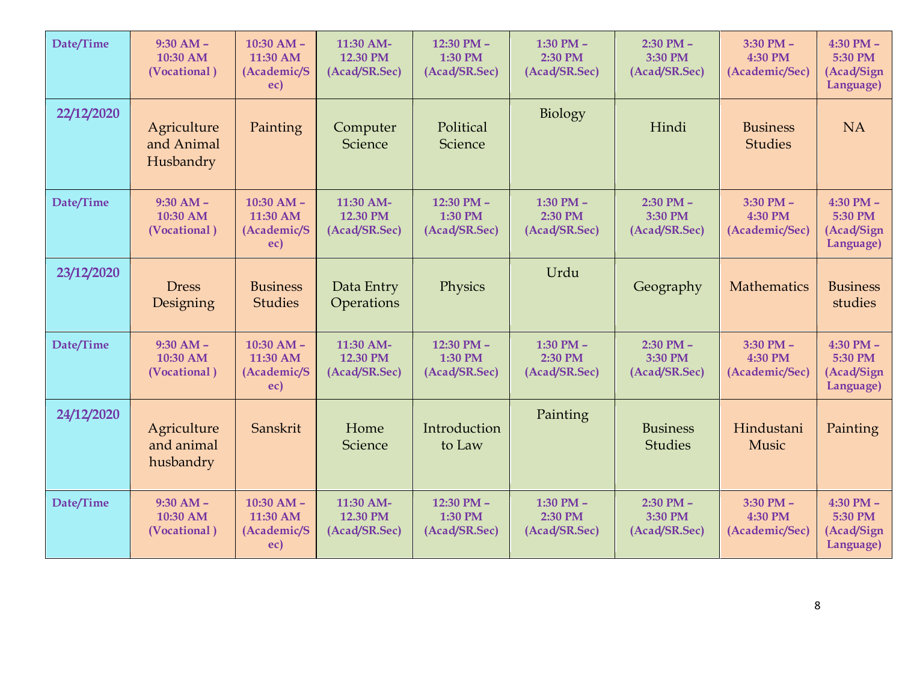| Date/Time  | $9:30 AM -$<br>10:30 AM<br>(Vocational) | $10:30$ AM $-$<br>11:30 AM<br>(Academic/S<br>ec) | 11:30 AM-<br>12.30 PM<br>(Acad/SR.Sec) | 12:30 PM -<br>1:30 PM<br>(Acad/SR.Sec)                                                 | 1:30 PM $-$<br>2:30 PM<br>(Acad/SR.Sec) | $2:30$ PM $-$<br>3:30 PM<br>(Acad/SR.Sec) | $3:30$ PM $-$<br>4:30 PM<br>(Academic/Sec) | $4:30$ PM $-$<br>5:30 PM<br>(Acad/Sign<br>Language) |
|------------|-----------------------------------------|--------------------------------------------------|----------------------------------------|----------------------------------------------------------------------------------------|-----------------------------------------|-------------------------------------------|--------------------------------------------|-----------------------------------------------------|
| 22/12/2020 | Agriculture<br>and Animal<br>Husbandry  | Painting                                         | Computer<br>Science                    | Biology<br>Political<br>Hindi<br>Science<br>1:30 PM $-$<br>12:30 PM -<br>$2:30$ PM $-$ |                                         |                                           | <b>Business</b><br><b>Studies</b>          | <b>NA</b>                                           |
| Date/Time  | $9:30 AM -$<br>10:30 AM<br>(Vocational) | $10:30$ AM $-$<br>11:30 AM<br>(Academic/S<br>ec) | 11:30 AM-<br>12.30 PM<br>(Acad/SR.Sec) | 1:30 PM<br>(Acad/SR.Sec)                                                               | 2:30 PM<br>(Acad/SR.Sec)                | 3:30 PM<br>(Acad/SR.Sec)                  | $3:30$ PM $-$<br>4:30 PM<br>(Academic/Sec) | $4:30$ PM $-$<br>5:30 PM<br>(Acad/Sign<br>Language) |
| 23/12/2020 | <b>Dress</b><br>Designing               | <b>Business</b><br><b>Studies</b>                | Data Entry<br>Operations               | Physics                                                                                | Urdu                                    | Geography                                 | <b>Mathematics</b>                         | <b>Business</b><br>studies                          |
| Date/Time  | $9:30 AM -$<br>10:30 AM<br>(Vocational) | $10:30$ AM $-$<br>11:30 AM<br>(Academic/S<br>ec) | 11:30 AM-<br>12.30 PM<br>(Acad/SR.Sec) | 12:30 PM -<br>1:30 PM<br>(Acad/SR.Sec)                                                 | 1:30 PM $-$<br>2:30 PM<br>(Acad/SR.Sec) | $2:30$ PM $-$<br>3:30 PM<br>(Acad/SR.Sec) | $3:30$ PM $-$<br>4:30 PM<br>(Academic/Sec) | $4:30$ PM $-$<br>5:30 PM<br>(Acad/Sign<br>Language) |
| 24/12/2020 | Agriculture<br>and animal<br>husbandry  | Sanskrit                                         | Home<br>Science                        | Introduction<br>to Law                                                                 | Painting                                | <b>Business</b><br><b>Studies</b>         | Hindustani<br>Music                        | Painting                                            |
| Date/Time  | $9:30 AM -$<br>10:30 AM<br>(Vocational) | $10:30$ AM $-$<br>11:30 AM<br>(Academic/S<br>ec) | 11:30 AM-<br>12.30 PM<br>(Acad/SR.Sec) | 12:30 PM -<br>1:30 PM<br>(Acad/SR.Sec)                                                 | 1:30 PM $-$<br>2:30 PM<br>(Acad/SR.Sec) | $2:30$ PM $-$<br>3:30 PM<br>(Acad/SR.Sec) | $3:30$ PM $-$<br>4:30 PM<br>(Academic/Sec) | $4:30$ PM $-$<br>5:30 PM<br>(Acad/Sign<br>Language) |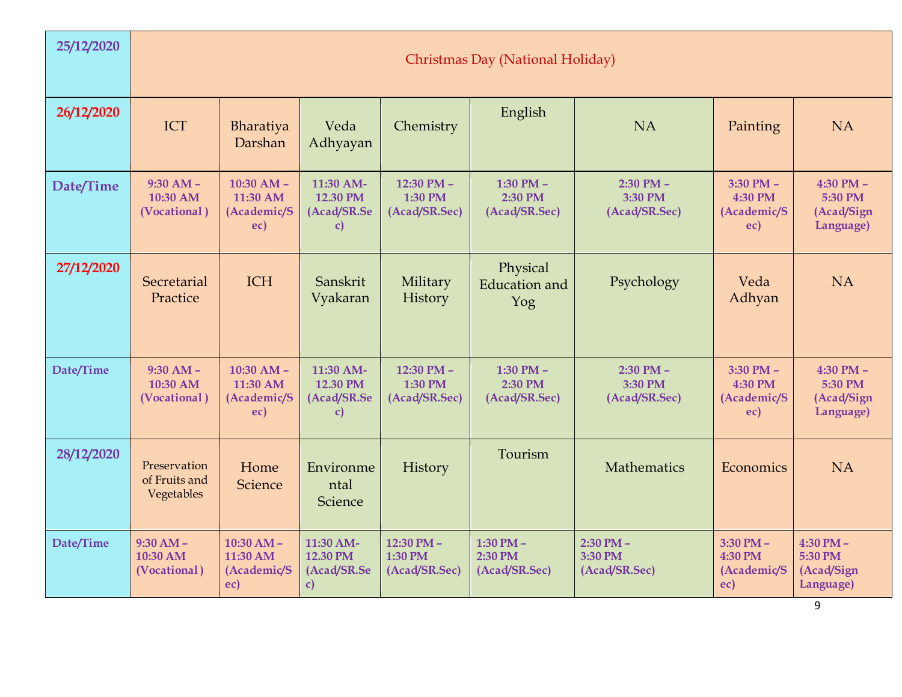| 25/12/2020 | Christmas Day (National Holiday)            |                                                  |                                            |                                        |                                         |                                           |                                                |                                                          |  |  |  |  |  |
|------------|---------------------------------------------|--------------------------------------------------|--------------------------------------------|----------------------------------------|-----------------------------------------|-------------------------------------------|------------------------------------------------|----------------------------------------------------------|--|--|--|--|--|
| 26/12/2020 | ICT                                         | Bharatiya<br>Darshan                             | Veda<br>Adhyayan                           | Chemistry                              | English                                 | <b>NA</b>                                 | Painting                                       | <b>NA</b>                                                |  |  |  |  |  |
| Date/Time  | $9:30$ AM -<br>10:30 AM<br>(Vocational)     | $10:30$ AM $-$<br>11:30 AM<br>(Academic/S<br>ec) | 11:30 AM-<br>12.30 PM<br>(Acad/SR.Se<br>c) | 12:30 PM -<br>1:30 PM<br>(Acad/SR.Sec) | 1:30 PM $-$<br>2:30 PM<br>(Acad/SR.Sec) | $2:30$ PM $-$<br>3:30 PM<br>(Acad/SR.Sec) | $3:30$ PM $-$<br>4:30 PM<br>(Academic/S<br>ec) | 4:30 PM $-$<br>5:30 PM<br>(Acad/Sign<br>Language)        |  |  |  |  |  |
| 27/12/2020 | Secretarial<br>Practice                     | <b>ICH</b>                                       | Sanskrit<br>Vyakaran                       | Military<br>History                    | Physical<br><b>Education</b> and<br>Yog | Psychology                                | Veda<br>Adhyan                                 | <b>NA</b>                                                |  |  |  |  |  |
| Date/Time  | $9:30$ AM -<br>10:30 AM<br>(Vocational)     | $10:30$ AM -<br>11:30 AM<br>(Academic/S<br>ec)   | 11:30 AM-<br>12.30 PM<br>(Acad/SR.Se<br>C) | 12:30 PM -<br>1:30 PM<br>(Acad/SR.Sec) | 1:30 PM $-$<br>2:30 PM<br>(Acad/SR.Sec) | $2:30$ PM $-$<br>3:30 PM<br>(Acad/SR.Sec) | $3:30$ PM $-$<br>4:30 PM<br>(Academic/S<br>ec) | 4:30 PM $-$<br>5:30 PM<br>(Acad/Sign<br>Language)        |  |  |  |  |  |
| 28/12/2020 | Preservation<br>of Fruits and<br>Vegetables | Home<br>Science                                  | Environme<br>ntal<br>Science               | History                                | Tourism                                 | <b>Mathematics</b>                        | Economics                                      | <b>NA</b>                                                |  |  |  |  |  |
| Date/Time  | $9:30 AM -$<br>10:30 AM<br>(Vocational)     | $10:30 AM -$<br>11:30 AM<br>(Academic/S<br>ec)   | 11:30 AM-<br>12.30 PM<br>(Acad/SR.Se<br>C) | 12:30 PM -<br>1:30 PM<br>(Acad/SR.Sec) | 1:30 PM $-$<br>2:30 PM<br>(Acad/SR.Sec) | $2:30$ PM $-$<br>3:30 PM<br>(Acad/SR.Sec) | $3:30$ PM $-$<br>4:30 PM<br>(Academic/S<br>ec) | $4:30$ PM $-$<br>5:30 PM<br>(Acad/Sign<br>Language)<br>9 |  |  |  |  |  |